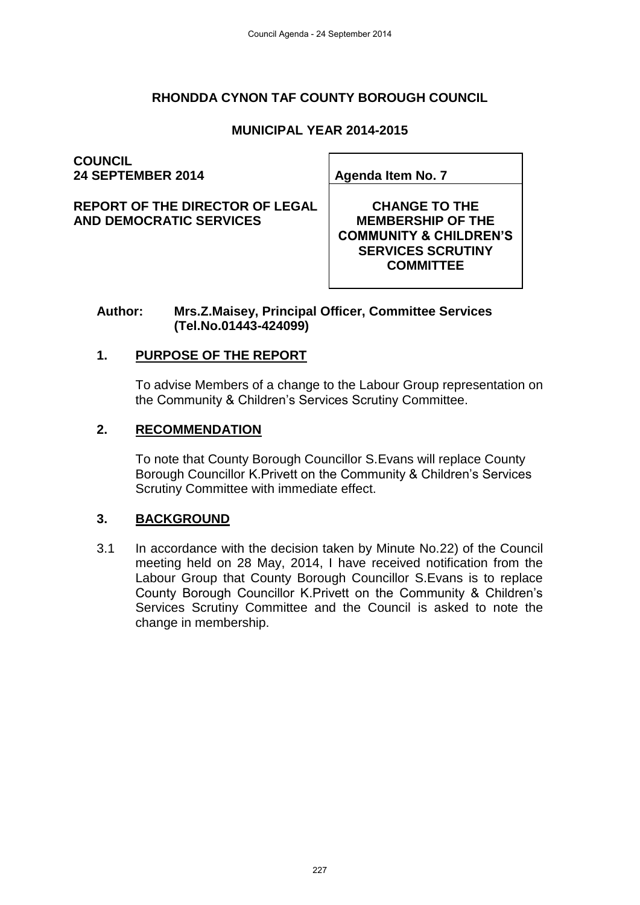## **RHONDDA CYNON TAF COUNTY BOROUGH COUNCIL**

### **MUNICIPAL YEAR 2014-2015**

**COUNCIL 24 SEPTEMBER 2014 Agenda Item No. 7**

**REPORT OF THE DIRECTOR OF LEGAL AND DEMOCRATIC SERVICES**

**CHANGE TO THE MEMBERSHIP OF THE COMMUNITY & CHILDREN'S SERVICES SCRUTINY COMMITTEE**

#### **Author: Mrs.Z.Maisey, Principal Officer, Committee Services (Tel.No.01443-424099)**

### **1. PURPOSE OF THE REPORT**

To advise Members of a change to the Labour Group representation on the Community & Children's Services Scrutiny Committee.

#### **2. RECOMMENDATION**

To note that County Borough Councillor S.Evans will replace County Borough Councillor K.Privett on the Community & Children's Services Scrutiny Committee with immediate effect.

## **3. BACKGROUND**

3.1 In accordance with the decision taken by Minute No.22) of the Council meeting held on 28 May, 2014, I have received notification from the Labour Group that County Borough Councillor S.Evans is to replace County Borough Councillor K.Privett on the Community & Children's Services Scrutiny Committee and the Council is asked to note the change in membership.